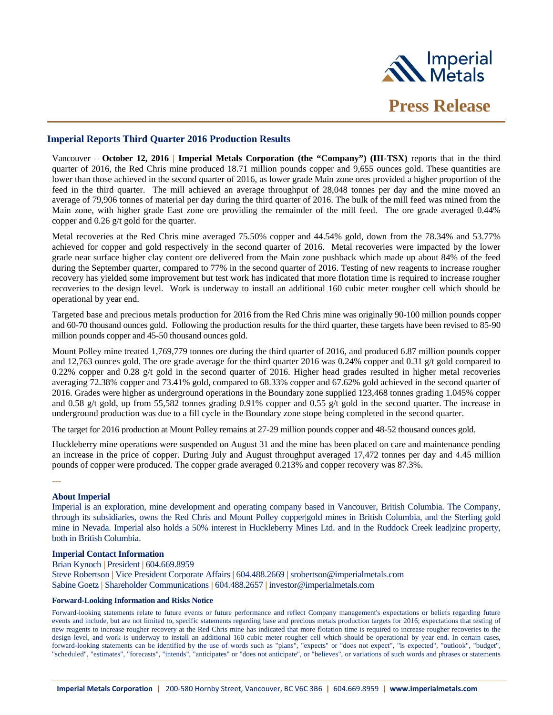

## **Imperial Reports Third Quarter 2016 Production Results**

Vancouver – **October 12, 2016 | Imperial Metals Corporation (the "Company") (III-TSX)** reports that in the third quarter of 2016, the Red Chris mine produced 18.71 million pounds copper and 9,655 ounces gold. These quantities are lower than those achieved in the second quarter of 2016, as lower grade Main zone ores provided a higher proportion of the feed in the third quarter. The mill achieved an average throughput of 28,048 tonnes per day and the mine moved an average of 79,906 tonnes of material per day during the third quarter of 2016. The bulk of the mill feed was mined from the Main zone, with higher grade East zone ore providing the remainder of the mill feed. The ore grade averaged 0.44% copper and 0.26 g/t gold for the quarter.

Metal recoveries at the Red Chris mine averaged 75.50% copper and 44.54% gold, down from the 78.34% and 53.77% achieved for copper and gold respectively in the second quarter of 2016. Metal recoveries were impacted by the lower grade near surface higher clay content ore delivered from the Main zone pushback which made up about 84% of the feed during the September quarter, compared to 77% in the second quarter of 2016. Testing of new reagents to increase rougher recovery has yielded some improvement but test work has indicated that more flotation time is required to increase rougher recoveries to the design level. Work is underway to install an additional 160 cubic meter rougher cell which should be operational by year end.

Targeted base and precious metals production for 2016 from the Red Chris mine was originally 90-100 million pounds copper and 60-70 thousand ounces gold. Following the production results for the third quarter, these targets have been revised to 85-90 million pounds copper and 45-50 thousand ounces gold.

Mount Polley mine treated 1,769,779 tonnes ore during the third quarter of 2016, and produced 6.87 million pounds copper and 12,763 ounces gold. The ore grade average for the third quarter 2016 was 0.24% copper and 0.31 g/t gold compared to 0.22% copper and 0.28 g/t gold in the second quarter of 2016. Higher head grades resulted in higher metal recoveries averaging 72.38% copper and 73.41% gold, compared to 68.33% copper and 67.62% gold achieved in the second quarter of 2016. Grades were higher as underground operations in the Boundary zone supplied 123,468 tonnes grading 1.045% copper and 0.58 g/t gold, up from 55,582 tonnes grading 0.91% copper and 0.55 g/t gold in the second quarter. The increase in underground production was due to a fill cycle in the Boundary zone stope being completed in the second quarter.

The target for 2016 production at Mount Polley remains at 27-29 million pounds copper and 48-52 thousand ounces gold.

Huckleberry mine operations were suspended on August 31 and the mine has been placed on care and maintenance pending an increase in the price of copper. During July and August throughput averaged 17,472 tonnes per day and 4.45 million pounds of copper were produced. The copper grade averaged 0.213% and copper recovery was 87.3%.

# ---

## **About Imperial**

Imperial is an exploration, mine development and operating company based in Vancouver, British Columbia. The Company, through its subsidiaries, owns the Red Chris and Mount Polley copper|gold mines in British Columbia, and the Sterling gold mine in Nevada. Imperial also holds a 50% interest in Huckleberry Mines Ltd. and in the Ruddock Creek lead|zinc property, both in British Columbia.

### **Imperial Contact Information**

Brian Kynoch **|** President **|** 604.669.8959 Steve Robertson **|** Vice President Corporate Affairs **|** 604.488.2669 **|** srobertson@imperialmetals.com Sabine Goetz **|** Shareholder Communications **|** 604.488.2657 **|** investor@imperialmetals.com

### **Forward-Looking Information and Risks Notice**

Forward-looking statements relate to future events or future performance and reflect Company management's expectations or beliefs regarding future events and include, but are not limited to, specific statements regarding base and precious metals production targets for 2016; expectations that testing of new reagents to increase rougher recovery at the Red Chris mine has indicated that more flotation time is required to increase rougher recoveries to the design level, and work is underway to install an additional 160 cubic meter rougher cell which should be operational by year end. In certain cases, forward-looking statements can be identified by the use of words such as "plans", "expects" or "does not expect", "is expected", "outlook", "budget", "scheduled", "estimates", "forecasts", "intends", "anticipates" or "does not anticipate", or "believes", or variations of such words and phrases or statements